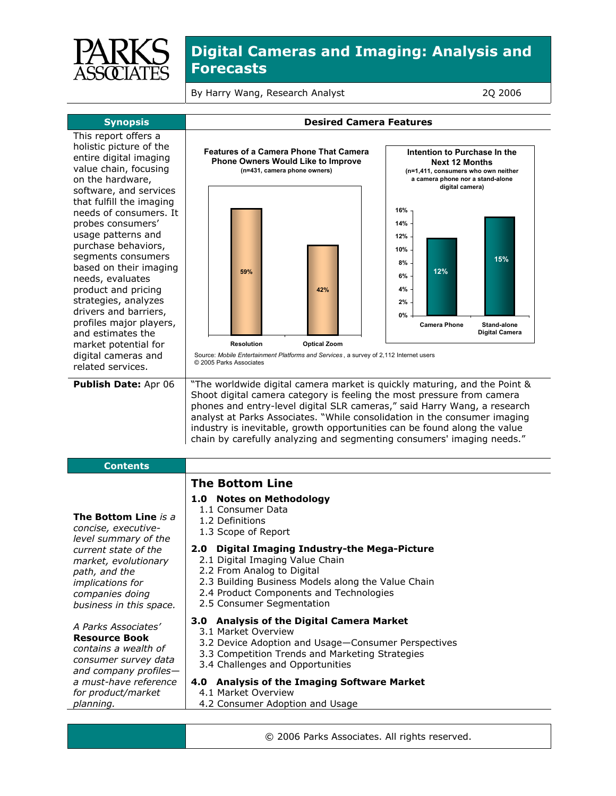

By Harry Wang, Research Analyst 2Q 2006

| <b>Synopsis</b>                                                                                                                                                                                                                                                                                                                                                                      | <b>Desired Camera Features</b>                                                                                                                                                                                                                                                                                                                                                                                                                                      |                                                                                                                                                     |
|--------------------------------------------------------------------------------------------------------------------------------------------------------------------------------------------------------------------------------------------------------------------------------------------------------------------------------------------------------------------------------------|---------------------------------------------------------------------------------------------------------------------------------------------------------------------------------------------------------------------------------------------------------------------------------------------------------------------------------------------------------------------------------------------------------------------------------------------------------------------|-----------------------------------------------------------------------------------------------------------------------------------------------------|
| This report offers a<br>holistic picture of the<br>entire digital imaging<br>value chain, focusing<br>on the hardware,<br>software, and services                                                                                                                                                                                                                                     | <b>Features of a Camera Phone That Camera</b><br><b>Phone Owners Would Like to Improve</b><br>(n=431, camera phone owners)                                                                                                                                                                                                                                                                                                                                          | Intention to Purchase In the<br><b>Next 12 Months</b><br>(n=1,411, consumers who own neither<br>a camera phone nor a stand-alone<br>digital camera) |
| that fulfill the imaging<br>needs of consumers. It<br>probes consumers'<br>usage patterns and<br>purchase behaviors,<br>segments consumers<br>based on their imaging<br>needs, evaluates<br>product and pricing<br>strategies, analyzes<br>drivers and barriers,<br>profiles major players,<br>and estimates the<br>market potential for<br>digital cameras and<br>related services. | 59%<br>42%<br><b>Resolution</b><br><b>Optical Zoom</b><br>Source: Mobile Entertainment Platforms and Services, a survey of 2,112 Internet users<br>© 2005 Parks Associates                                                                                                                                                                                                                                                                                          | 16%<br>14%<br>12%<br>10%<br>15%<br>8%<br>12%<br>6%<br>4%<br>2%<br>0%<br><b>Camera Phone</b><br><b>Stand-alone</b><br>Digital Camera                 |
| Publish Date: Apr 06                                                                                                                                                                                                                                                                                                                                                                 | "The worldwide digital camera market is quickly maturing, and the Point &<br>Shoot digital camera category is feeling the most pressure from camera<br>phones and entry-level digital SLR cameras," said Harry Wang, a research<br>analyst at Parks Associates. "While consolidation in the consumer imaging<br>industry is inevitable, growth opportunities can be found along the value<br>chain by carefully analyzing and segmenting consumers' imaging needs." |                                                                                                                                                     |
| <b>Contents</b>                                                                                                                                                                                                                                                                                                                                                                      |                                                                                                                                                                                                                                                                                                                                                                                                                                                                     |                                                                                                                                                     |
| <b>The Bottom Line is a</b><br>concise, executive-<br>level summary of the<br>current state of the<br>market, evolutionary<br>path, and the<br>implications for<br>companies doing<br>business in this space.                                                                                                                                                                        | <b>The Bottom Line</b><br>1.0 Notes on Methodology<br>1.1 Consumer Data<br>1.2 Definitions<br>1.3 Scope of Report<br><b>Digital Imaging Industry-the Mega-Picture</b><br>2.0<br>2.1 Digital Imaging Value Chain<br>2.2 From Analog to Digital<br>2.3 Building Business Models along the Value Chain<br>2.4 Product Components and Technologies<br>2.5 Consumer Segmentation                                                                                         |                                                                                                                                                     |
| A Parks Associates'<br><b>Resource Book</b><br>contains a wealth of<br>consumer survey data<br>and company profiles-<br>a must-have reference<br>for product/market<br>planning.                                                                                                                                                                                                     | 3.0 Analysis of the Digital Camera Market<br>3.1 Market Overview<br>3.2 Device Adoption and Usage-Consumer Perspectives<br>3.3 Competition Trends and Marketing Strategies<br>3.4 Challenges and Opportunities<br>4.0 Analysis of the Imaging Software Market<br>4.1 Market Overview<br>4.2 Consumer Adoption and Usage                                                                                                                                             |                                                                                                                                                     |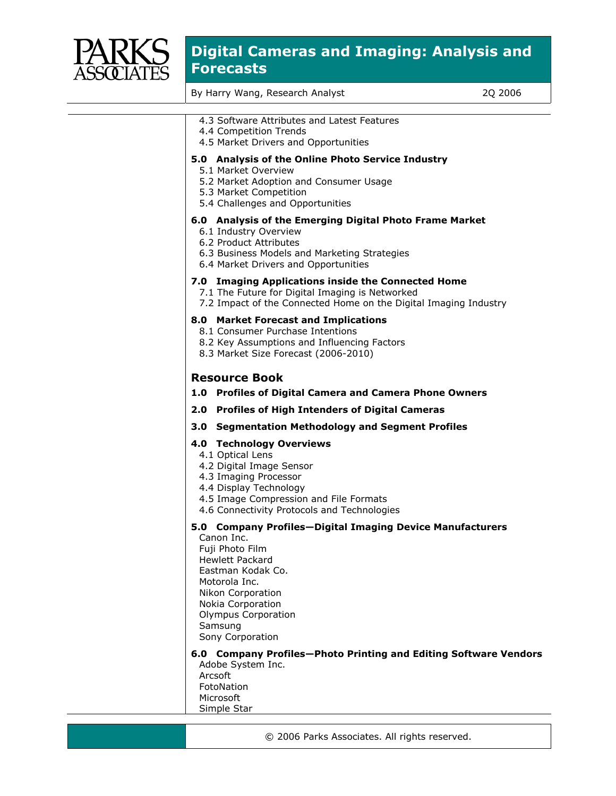

By Harry Wang, Research Analyst 2Q 2006

| 4.3 Software Attributes and Latest Features<br>4.4 Competition Trends<br>4.5 Market Drivers and Opportunities                                                                                                                          |
|----------------------------------------------------------------------------------------------------------------------------------------------------------------------------------------------------------------------------------------|
| 5.0 Analysis of the Online Photo Service Industry<br>5.1 Market Overview<br>5.2 Market Adoption and Consumer Usage<br>5.3 Market Competition<br>5.4 Challenges and Opportunities                                                       |
| 6.0 Analysis of the Emerging Digital Photo Frame Market<br>6.1 Industry Overview<br>6.2 Product Attributes<br>6.3 Business Models and Marketing Strategies<br>6.4 Market Drivers and Opportunities                                     |
| 7.0 Imaging Applications inside the Connected Home<br>7.1 The Future for Digital Imaging is Networked<br>7.2 Impact of the Connected Home on the Digital Imaging Industry                                                              |
| 8.0 Market Forecast and Implications<br>8.1 Consumer Purchase Intentions<br>8.2 Key Assumptions and Influencing Factors<br>8.3 Market Size Forecast (2006-2010)                                                                        |
| <b>Resource Book</b><br>1.0 Profiles of Digital Camera and Camera Phone Owners                                                                                                                                                         |
| 2.0 Profiles of High Intenders of Digital Cameras                                                                                                                                                                                      |
| 3.0 Segmentation Methodology and Segment Profiles                                                                                                                                                                                      |
| <b>4.0 Technology Overviews</b><br>4.1 Optical Lens<br>4.2 Digital Image Sensor<br>4.3 Imaging Processor<br>4.4 Display Technology<br>4.5 Image Compression and File Formats<br>4.6 Connectivity Protocols and Technologies            |
| 5.0 Company Profiles-Digital Imaging Device Manufacturers<br>Canon Inc.<br>Fuji Photo Film<br><b>Hewlett Packard</b><br>Eastman Kodak Co.<br>Motorola Inc.<br>Nikon Corporation<br>Nokia Corporation<br>Olympus Corporation<br>Samsung |
| Sony Corporation<br>6.0 Company Profiles-Photo Printing and Editing Software Vendors                                                                                                                                                   |

Adobe System Inc. Arcsoft FotoNation Microsoft Simple Star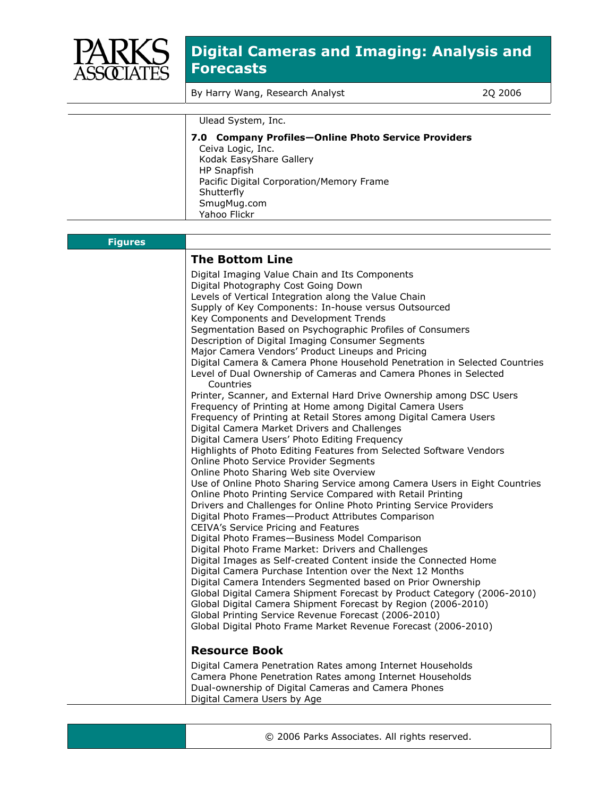

By Harry Wang, Research Analyst 2Q 2006

|                | Ulead System, Inc.                                                                                                                                                                                          |
|----------------|-------------------------------------------------------------------------------------------------------------------------------------------------------------------------------------------------------------|
|                | 7.0 Company Profiles-Online Photo Service Providers<br>Ceiva Logic, Inc.<br>Kodak EasyShare Gallery<br>HP Snapfish<br>Pacific Digital Corporation/Memory Frame<br>Shutterfly<br>SmugMug.com<br>Yahoo Flickr |
|                |                                                                                                                                                                                                             |
| <b>Figures</b> |                                                                                                                                                                                                             |
|                |                                                                                                                                                                                                             |

#### **The Bottom Line**  Digital Imaging Value Chain and Its Components Digital Photography Cost Going Down Levels of Vertical Integration along the Value Chain Supply of Key Components: In-house versus Outsourced Key Components and Development Trends Segmentation Based on Psychographic Profiles of Consumers Description of Digital Imaging Consumer Segments Major Camera Vendors' Product Lineups and Pricing Digital Camera & Camera Phone Household Penetration in Selected Countries Level of Dual Ownership of Cameras and Camera Phones in Selected Countries Printer, Scanner, and External Hard Drive Ownership among DSC Users Frequency of Printing at Home among Digital Camera Users Frequency of Printing at Retail Stores among Digital Camera Users Digital Camera Market Drivers and Challenges Digital Camera Users' Photo Editing Frequency Highlights of Photo Editing Features from Selected Software Vendors Online Photo Service Provider Segments Online Photo Sharing Web site Overview Use of Online Photo Sharing Service among Camera Users in Eight Countries Online Photo Printing Service Compared with Retail Printing Drivers and Challenges for Online Photo Printing Service Providers Digital Photo Frames—Product Attributes Comparison CEIVA's Service Pricing and Features Digital Photo Frames—Business Model Comparison Digital Photo Frame Market: Drivers and Challenges Digital Images as Self-created Content inside the Connected Home Digital Camera Purchase Intention over the Next 12 Months Digital Camera Intenders Segmented based on Prior Ownership Global Digital Camera Shipment Forecast by Product Category (2006-2010) Global Digital Camera Shipment Forecast by Region (2006-2010) Global Printing Service Revenue Forecast (2006-2010) Global Digital Photo Frame Market Revenue Forecast (2006-2010) **Resource Book**  Digital Camera Penetration Rates among Internet Households Camera Phone Penetration Rates among Internet Households Dual-ownership of Digital Cameras and Camera Phones Digital Camera Users by Age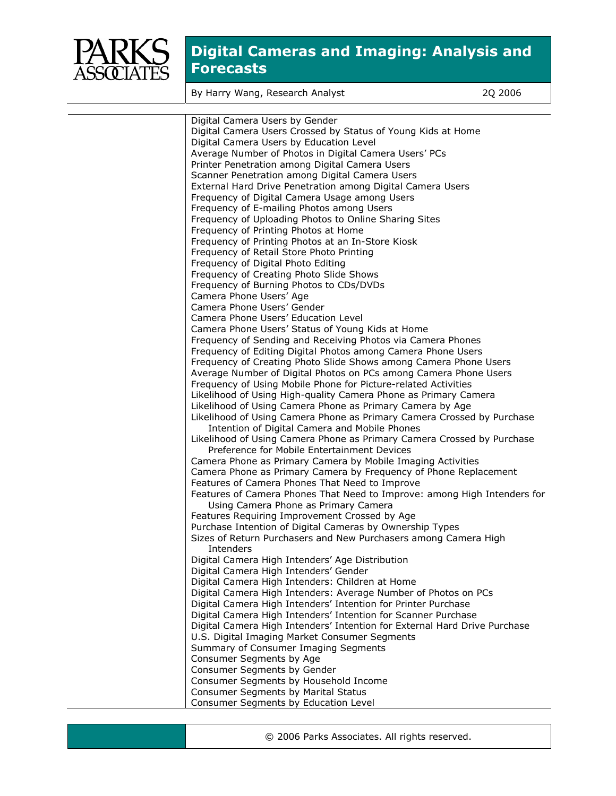

By Harry Wang, Research Analyst 2Q 2006

| Digital Camera Users by Gender<br>Digital Camera Users Crossed by Status of Young Kids at Home<br>Digital Camera Users by Education Level<br>Average Number of Photos in Digital Camera Users' PCs<br>Printer Penetration among Digital Camera Users<br>Scanner Penetration among Digital Camera Users<br>External Hard Drive Penetration among Digital Camera Users<br>Frequency of Digital Camera Usage among Users<br>Frequency of E-mailing Photos among Users |
|--------------------------------------------------------------------------------------------------------------------------------------------------------------------------------------------------------------------------------------------------------------------------------------------------------------------------------------------------------------------------------------------------------------------------------------------------------------------|
|                                                                                                                                                                                                                                                                                                                                                                                                                                                                    |
|                                                                                                                                                                                                                                                                                                                                                                                                                                                                    |
|                                                                                                                                                                                                                                                                                                                                                                                                                                                                    |
|                                                                                                                                                                                                                                                                                                                                                                                                                                                                    |
|                                                                                                                                                                                                                                                                                                                                                                                                                                                                    |
|                                                                                                                                                                                                                                                                                                                                                                                                                                                                    |
|                                                                                                                                                                                                                                                                                                                                                                                                                                                                    |
|                                                                                                                                                                                                                                                                                                                                                                                                                                                                    |
|                                                                                                                                                                                                                                                                                                                                                                                                                                                                    |
| Frequency of Uploading Photos to Online Sharing Sites                                                                                                                                                                                                                                                                                                                                                                                                              |
| Frequency of Printing Photos at Home                                                                                                                                                                                                                                                                                                                                                                                                                               |
| Frequency of Printing Photos at an In-Store Kiosk                                                                                                                                                                                                                                                                                                                                                                                                                  |
| Frequency of Retail Store Photo Printing                                                                                                                                                                                                                                                                                                                                                                                                                           |
| Frequency of Digital Photo Editing                                                                                                                                                                                                                                                                                                                                                                                                                                 |
| Frequency of Creating Photo Slide Shows                                                                                                                                                                                                                                                                                                                                                                                                                            |
| Frequency of Burning Photos to CDs/DVDs                                                                                                                                                                                                                                                                                                                                                                                                                            |
| Camera Phone Users' Age                                                                                                                                                                                                                                                                                                                                                                                                                                            |
| Camera Phone Users' Gender                                                                                                                                                                                                                                                                                                                                                                                                                                         |
| Camera Phone Users' Education Level                                                                                                                                                                                                                                                                                                                                                                                                                                |
| Camera Phone Users' Status of Young Kids at Home                                                                                                                                                                                                                                                                                                                                                                                                                   |
| Frequency of Sending and Receiving Photos via Camera Phones                                                                                                                                                                                                                                                                                                                                                                                                        |
| Frequency of Editing Digital Photos among Camera Phone Users                                                                                                                                                                                                                                                                                                                                                                                                       |
| Frequency of Creating Photo Slide Shows among Camera Phone Users                                                                                                                                                                                                                                                                                                                                                                                                   |
| Average Number of Digital Photos on PCs among Camera Phone Users                                                                                                                                                                                                                                                                                                                                                                                                   |
| Frequency of Using Mobile Phone for Picture-related Activities                                                                                                                                                                                                                                                                                                                                                                                                     |
| Likelihood of Using High-quality Camera Phone as Primary Camera                                                                                                                                                                                                                                                                                                                                                                                                    |
| Likelihood of Using Camera Phone as Primary Camera by Age                                                                                                                                                                                                                                                                                                                                                                                                          |
| Likelihood of Using Camera Phone as Primary Camera Crossed by Purchase                                                                                                                                                                                                                                                                                                                                                                                             |
| Intention of Digital Camera and Mobile Phones                                                                                                                                                                                                                                                                                                                                                                                                                      |
| Likelihood of Using Camera Phone as Primary Camera Crossed by Purchase                                                                                                                                                                                                                                                                                                                                                                                             |
| Preference for Mobile Entertainment Devices                                                                                                                                                                                                                                                                                                                                                                                                                        |
| Camera Phone as Primary Camera by Mobile Imaging Activities                                                                                                                                                                                                                                                                                                                                                                                                        |
| Camera Phone as Primary Camera by Frequency of Phone Replacement                                                                                                                                                                                                                                                                                                                                                                                                   |
| Features of Camera Phones That Need to Improve                                                                                                                                                                                                                                                                                                                                                                                                                     |
| Features of Camera Phones That Need to Improve: among High Intenders for                                                                                                                                                                                                                                                                                                                                                                                           |
| Using Camera Phone as Primary Camera                                                                                                                                                                                                                                                                                                                                                                                                                               |
| Features Requiring Improvement Crossed by Age                                                                                                                                                                                                                                                                                                                                                                                                                      |
| Purchase Intention of Digital Cameras by Ownership Types                                                                                                                                                                                                                                                                                                                                                                                                           |
| Sizes of Return Purchasers and New Purchasers among Camera High                                                                                                                                                                                                                                                                                                                                                                                                    |
| Intenders                                                                                                                                                                                                                                                                                                                                                                                                                                                          |
| Digital Camera High Intenders' Age Distribution                                                                                                                                                                                                                                                                                                                                                                                                                    |
| Digital Camera High Intenders' Gender                                                                                                                                                                                                                                                                                                                                                                                                                              |
| Digital Camera High Intenders: Children at Home                                                                                                                                                                                                                                                                                                                                                                                                                    |
| Digital Camera High Intenders: Average Number of Photos on PCs                                                                                                                                                                                                                                                                                                                                                                                                     |
| Digital Camera High Intenders' Intention for Printer Purchase                                                                                                                                                                                                                                                                                                                                                                                                      |
| Digital Camera High Intenders' Intention for Scanner Purchase                                                                                                                                                                                                                                                                                                                                                                                                      |
| Digital Camera High Intenders' Intention for External Hard Drive Purchase                                                                                                                                                                                                                                                                                                                                                                                          |
| U.S. Digital Imaging Market Consumer Segments                                                                                                                                                                                                                                                                                                                                                                                                                      |
| Summary of Consumer Imaging Segments                                                                                                                                                                                                                                                                                                                                                                                                                               |
| Consumer Segments by Age                                                                                                                                                                                                                                                                                                                                                                                                                                           |
| Consumer Segments by Gender                                                                                                                                                                                                                                                                                                                                                                                                                                        |
| Consumer Segments by Household Income                                                                                                                                                                                                                                                                                                                                                                                                                              |
| Consumer Segments by Marital Status                                                                                                                                                                                                                                                                                                                                                                                                                                |
| Consumer Segments by Education Level                                                                                                                                                                                                                                                                                                                                                                                                                               |

© 2006 Parks Associates. All rights reserved.